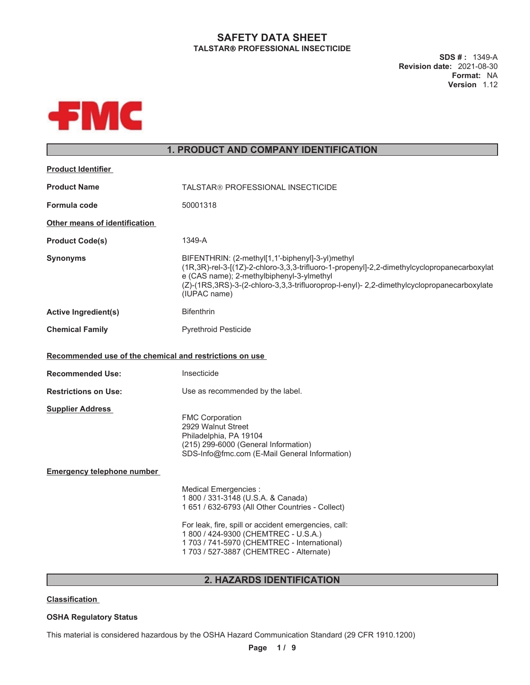# **SAFETY DATA SHEET TALSTAR PROFESSIONAL INSECTICIDE**

**SDS # :** 1349-A **Revision date:** 2021-08-30 **Format:** NA **Version** 1.12



# **1. PRODUCT AND COMPANY IDENTIFICATION**

| <b>Product Identifier</b>                               |                                                                                                                                                                                                                                                                                                           |  |
|---------------------------------------------------------|-----------------------------------------------------------------------------------------------------------------------------------------------------------------------------------------------------------------------------------------------------------------------------------------------------------|--|
| <b>Product Name</b>                                     | TALSTAR® PROFESSIONAL INSECTICIDE                                                                                                                                                                                                                                                                         |  |
| Formula code                                            | 50001318                                                                                                                                                                                                                                                                                                  |  |
| Other means of identification                           |                                                                                                                                                                                                                                                                                                           |  |
| <b>Product Code(s)</b>                                  | 1349-A                                                                                                                                                                                                                                                                                                    |  |
| <b>Synonyms</b>                                         | BIFENTHRIN: (2-methyl[1,1'-biphenyl]-3-yl)methyl<br>(1R,3R)-rel-3-[(1Z)-2-chloro-3,3,3-trifluoro-1-propenyl]-2,2-dimethylcyclopropanecarboxylat<br>e (CAS name); 2-methylbiphenyl-3-ylmethyl<br>(Z)-(1RS,3RS)-3-(2-chloro-3,3,3-trifluoroprop-l-enyl)-2,2-dimethylcyclopropanecarboxylate<br>(IUPAC name) |  |
| <b>Active Ingredient(s)</b>                             | <b>Bifenthrin</b>                                                                                                                                                                                                                                                                                         |  |
| <b>Chemical Family</b>                                  | <b>Pyrethroid Pesticide</b>                                                                                                                                                                                                                                                                               |  |
| Recommended use of the chemical and restrictions on use |                                                                                                                                                                                                                                                                                                           |  |
| <b>Recommended Use:</b>                                 | Insecticide                                                                                                                                                                                                                                                                                               |  |
| <b>Restrictions on Use:</b>                             | Use as recommended by the label.                                                                                                                                                                                                                                                                          |  |
| <b>Supplier Address</b>                                 | <b>FMC Corporation</b><br>2929 Walnut Street<br>Philadelphia, PA 19104<br>(215) 299-6000 (General Information)<br>SDS-Info@fmc.com (E-Mail General Information)                                                                                                                                           |  |
| <b>Emergency telephone number</b>                       |                                                                                                                                                                                                                                                                                                           |  |
|                                                         | Medical Emergencies :<br>1 800 / 331-3148 (U.S.A. & Canada)<br>1 651 / 632-6793 (All Other Countries - Collect)<br>For leak, fire, spill or accident emergencies, call:<br>1 800 / 424-9300 (CHEMTREC - U.S.A.)<br>1 703 / 741-5970 (CHEMTREC - International)<br>1 703 / 527-3887 (CHEMTREC - Alternate) |  |

# **2. HAZARDS IDENTIFICATION**

**Classification**

# **OSHA Regulatory Status**

This material is considered hazardous by the OSHA Hazard Communication Standard (29 CFR 1910.1200)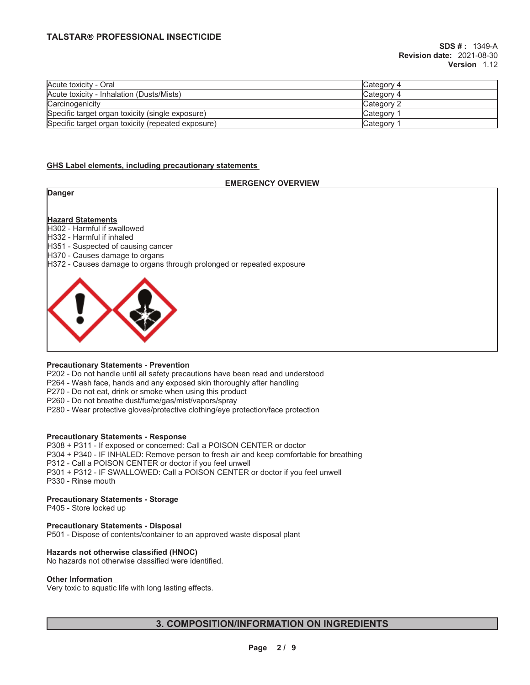| Acute toxicity - Oral                              | ICategory 4           |
|----------------------------------------------------|-----------------------|
| Acute toxicity - Inhalation (Dusts/Mists)          | Category 4            |
| Carcinogenicity                                    | Category 2            |
| Specific target organ toxicity (single exposure)   | Category <sup>2</sup> |
| Specific target organ toxicity (repeated exposure) | Category              |

### **GHS Label elements, including precautionary statements**

### **EMERGENCY OVERVIEW**

| <b>Danger</b>                                                                                                                                                              |
|----------------------------------------------------------------------------------------------------------------------------------------------------------------------------|
| <b>Hazard Statements</b><br>H302 - Harmful if swallowed                                                                                                                    |
| H332 - Harmful if inhaled<br>H351 - Suspected of causing cancer<br>H370 - Causes damage to organs<br>H372 - Causes damage to organs through prolonged or repeated exposure |
|                                                                                                                                                                            |
|                                                                                                                                                                            |

### **Precautionary Statements - Prevention**

P202 - Do not handle until all safety precautions have been read and understood

P264 - Wash face, hands and any exposed skin thoroughly after handling

P270 - Do not eat, drink or smoke when using this product

P260 - Do not breathe dust/fume/gas/mist/vapors/spray

P280 - Wear protective gloves/protective clothing/eye protection/face protection

### **Precautionary Statements - Response**

P308 + P311 - If exposed or concerned: Call a POISON CENTER or doctor P304 + P340 - IF INHALED: Remove person to fresh air and keep comfortable for breathing P312 - Call a POISON CENTER or doctor if you feel unwell P301 + P312 - IF SWALLOWED: Call a POISON CENTER or doctor if you feel unwell P330 - Rinse mouth

### **Precautionary Statements - Storage**

P405 - Store locked up

### **Precautionary Statements - Disposal**

P501 - Dispose of contents/container to an approved waste disposal plant

# **Hazards not otherwise classified (HNOC)**

No hazards not otherwise classified were identified.

### **Other Information**

Very toxic to aquatic life with long lasting effects.

# **3. COMPOSITION/INFORMATION ON INGREDIENTS**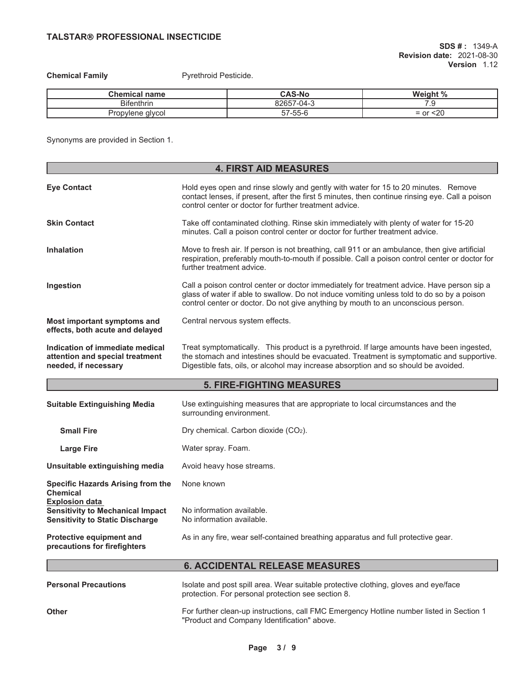**Chemical Family Pyrethroid Pesticide.** 

| Chemical name     | <b>CAS-No</b>            | Weight %<br>-70                            |
|-------------------|--------------------------|--------------------------------------------|
| <b>Bifenthrin</b> | 82657-04-3<br>8∠657      | ت. ا                                       |
| Propylene givcol  | $- - -$<br>--<br>57-55-t | <20<br>or<br>$\overline{\phantom{0}}$<br>- |

Synonyms are provided in Section 1.

| <b>4. FIRST AID MEASURES</b>                                                                               |                                                                                                                                                                                                                                                                               |  |
|------------------------------------------------------------------------------------------------------------|-------------------------------------------------------------------------------------------------------------------------------------------------------------------------------------------------------------------------------------------------------------------------------|--|
| <b>Eye Contact</b>                                                                                         | Hold eyes open and rinse slowly and gently with water for 15 to 20 minutes. Remove<br>contact lenses, if present, after the first 5 minutes, then continue rinsing eye. Call a poison<br>control center or doctor for further treatment advice.                               |  |
| <b>Skin Contact</b>                                                                                        | Take off contaminated clothing. Rinse skin immediately with plenty of water for 15-20<br>minutes. Call a poison control center or doctor for further treatment advice.                                                                                                        |  |
| <b>Inhalation</b>                                                                                          | Move to fresh air. If person is not breathing, call 911 or an ambulance, then give artificial<br>respiration, preferably mouth-to-mouth if possible. Call a poison control center or doctor for<br>further treatment advice.                                                  |  |
| Ingestion                                                                                                  | Call a poison control center or doctor immediately for treatment advice. Have person sip a<br>glass of water if able to swallow. Do not induce vomiting unless told to do so by a poison<br>control center or doctor. Do not give anything by mouth to an unconscious person. |  |
| Most important symptoms and<br>effects, both acute and delayed                                             | Central nervous system effects.                                                                                                                                                                                                                                               |  |
| Indication of immediate medical<br>attention and special treatment<br>needed, if necessary                 | Treat symptomatically. This product is a pyrethroid. If large amounts have been ingested,<br>the stomach and intestines should be evacuated. Treatment is symptomatic and supportive.<br>Digestible fats, oils, or alcohol may increase absorption and so should be avoided.  |  |
|                                                                                                            | <b>5. FIRE-FIGHTING MEASURES</b>                                                                                                                                                                                                                                              |  |
| <b>Suitable Extinguishing Media</b>                                                                        | Use extinguishing measures that are appropriate to local circumstances and the<br>surrounding environment.                                                                                                                                                                    |  |
| <b>Small Fire</b>                                                                                          | Dry chemical. Carbon dioxide (CO2).                                                                                                                                                                                                                                           |  |
| <b>Large Fire</b>                                                                                          | Water spray. Foam.                                                                                                                                                                                                                                                            |  |
| Unsuitable extinguishing media                                                                             | Avoid heavy hose streams.                                                                                                                                                                                                                                                     |  |
| <b>Specific Hazards Arising from the</b><br><b>Chemical</b>                                                | None known                                                                                                                                                                                                                                                                    |  |
| <b>Explosion data</b><br><b>Sensitivity to Mechanical Impact</b><br><b>Sensitivity to Static Discharge</b> | No information available.<br>No information available.                                                                                                                                                                                                                        |  |
| Protective equipment and<br>precautions for firefighters                                                   | As in any fire, wear self-contained breathing apparatus and full protective gear.                                                                                                                                                                                             |  |
|                                                                                                            | <b>6. ACCIDENTAL RELEASE MEASURES</b>                                                                                                                                                                                                                                         |  |
| <b>Personal Precautions</b>                                                                                | Isolate and post spill area. Wear suitable protective clothing, gloves and eye/face<br>protection. For personal protection see section 8.                                                                                                                                     |  |
| <b>Other</b>                                                                                               | For further clean-up instructions, call FMC Emergency Hotline number listed in Section 1<br>"Product and Company Identification" above.                                                                                                                                       |  |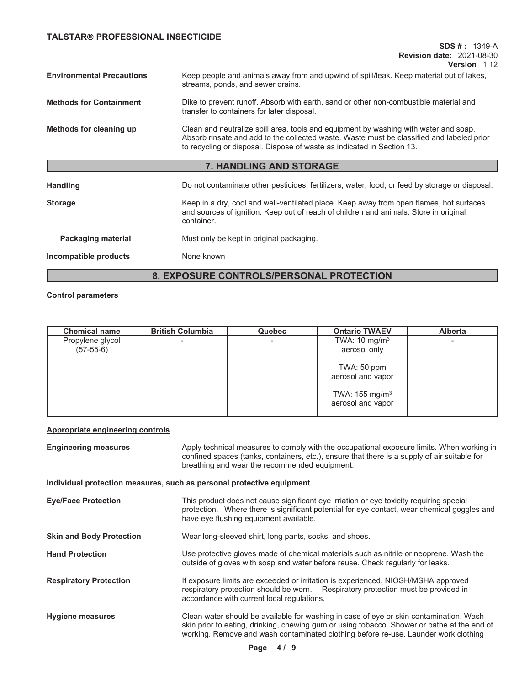**SDS # :** 1349-A **Revision date:** 2021-08-30 **Version** 1.12

| <b>Environmental Precautions</b>                | Keep people and animals away from and upwind of spill/leak. Keep material out of lakes,<br>streams, ponds, and sewer drains.                                                                                                                                |  |  |
|-------------------------------------------------|-------------------------------------------------------------------------------------------------------------------------------------------------------------------------------------------------------------------------------------------------------------|--|--|
| <b>Methods for Containment</b>                  | Dike to prevent runoff. Absorb with earth, sand or other non-combustible material and<br>transfer to containers for later disposal.                                                                                                                         |  |  |
| Methods for cleaning up                         | Clean and neutralize spill area, tools and equipment by washing with water and soap.<br>Absorb rinsate and add to the collected waste. Waste must be classified and labeled prior<br>to recycling or disposal. Dispose of waste as indicated in Section 13. |  |  |
|                                                 | <b>7. HANDLING AND STORAGE</b>                                                                                                                                                                                                                              |  |  |
| <b>Handling</b>                                 | Do not contaminate other pesticides, fertilizers, water, food, or feed by storage or disposal.                                                                                                                                                              |  |  |
| <b>Storage</b>                                  | Keep in a dry, cool and well-ventilated place. Keep away from open flames, hot surfaces<br>and sources of ignition. Keep out of reach of children and animals. Store in original<br>container.                                                              |  |  |
| <b>Packaging material</b>                       | Must only be kept in original packaging.                                                                                                                                                                                                                    |  |  |
| Incompatible products                           | None known                                                                                                                                                                                                                                                  |  |  |
| <b>8. EXPOSURE CONTROLS/PERSONAL PROTECTION</b> |                                                                                                                                                                                                                                                             |  |  |

**Control parameters**

| <b>Chemical name</b> | <b>British Columbia</b>  | <b>Quebec</b> | <b>Ontario TWAEV</b>                            | <b>Alberta</b> |
|----------------------|--------------------------|---------------|-------------------------------------------------|----------------|
| Propylene glycol     | $\overline{\phantom{0}}$ |               | TWA: $10 \text{ mg/m}^3$                        |                |
| $(57-55-6)$          |                          |               | aerosol only                                    |                |
|                      |                          |               | TWA: $50$ ppm<br>aerosol and vapor              |                |
|                      |                          |               | TWA: 155 mg/m <sup>3</sup><br>aerosol and vapor |                |

# **Appropriate engineering controls**

| <b>Engineering measures</b>     | Apply technical measures to comply with the occupational exposure limits. When working in<br>confined spaces (tanks, containers, etc.), ensure that there is a supply of air suitable for<br>breathing and wear the recommended equipment.                                   |
|---------------------------------|------------------------------------------------------------------------------------------------------------------------------------------------------------------------------------------------------------------------------------------------------------------------------|
|                                 | Individual protection measures, such as personal protective equipment                                                                                                                                                                                                        |
| <b>Eye/Face Protection</b>      | This product does not cause significant eye irriation or eye toxicity requiring special<br>protection. Where there is significant potential for eye contact, wear chemical goggles and<br>have eye flushing equipment available.                                             |
| <b>Skin and Body Protection</b> | Wear long-sleeved shirt, long pants, socks, and shoes.                                                                                                                                                                                                                       |
| <b>Hand Protection</b>          | Use protective gloves made of chemical materials such as nitrile or neoprene. Wash the<br>outside of gloves with soap and water before reuse. Check regularly for leaks.                                                                                                     |
| <b>Respiratory Protection</b>   | If exposure limits are exceeded or irritation is experienced, NIOSH/MSHA approved<br>respiratory protection should be worn. Respiratory protection must be provided in<br>accordance with current local regulations.                                                         |
| <b>Hygiene measures</b>         | Clean water should be available for washing in case of eye or skin contamination. Wash<br>skin prior to eating, drinking, chewing gum or using tobacco. Shower or bathe at the end of<br>working. Remove and wash contaminated clothing before re-use. Launder work clothing |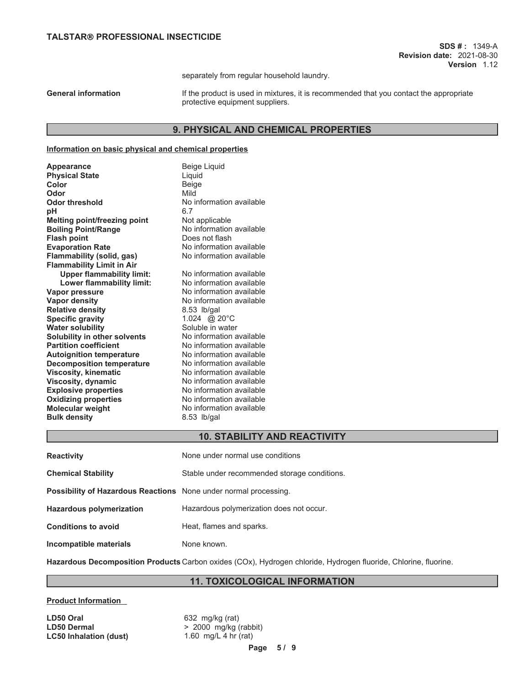separately from regular household laundry.

General information **If the product is used in mixtures**, it is recommended that you contact the appropriate protective equipment suppliers.

# **9. PHYSICAL AND CHEMICAL PROPERTIES**

### **Information on basic physical and chemical properties**

| <b>Appearance</b>                   | <b>Beige Liquid</b>      |
|-------------------------------------|--------------------------|
| <b>Physical State</b>               | Liquid                   |
| Color                               | Beige                    |
| Odor                                | Mild                     |
| <b>Odor threshold</b>               | No information available |
| рH                                  | 6.7                      |
| <b>Melting point/freezing point</b> | Not applicable           |
| <b>Boiling Point/Range</b>          | No information available |
| <b>Flash point</b>                  | Does not flash           |
| <b>Evaporation Rate</b>             | No information available |
| <b>Flammability (solid, gas)</b>    | No information available |
| <b>Flammability Limit in Air</b>    |                          |
| <b>Upper flammability limit:</b>    | No information available |
| Lower flammability limit:           | No information available |
| Vapor pressure                      | No information available |
| <b>Vapor density</b>                | No information available |
| <b>Relative density</b>             | 8.53 lb/gal              |
| <b>Specific gravity</b>             | 1.024 @ 20°C             |
| <b>Water solubility</b>             | Soluble in water         |
| Solubility in other solvents        | No information available |
| <b>Partition coefficient</b>        | No information available |
| <b>Autoignition temperature</b>     | No information available |
| <b>Decomposition temperature</b>    | No information available |
| <b>Viscosity, kinematic</b>         | No information available |
| Viscosity, dynamic                  | No information available |
| <b>Explosive properties</b>         | No information available |
| <b>Oxidizing properties</b>         | No information available |
| <b>Molecular weight</b>             | No information available |
| <b>Bulk density</b>                 | 8.53 lb/gal              |
|                                     |                          |

# **10. STABILITY AND REACTIVITY**

| <b>Reactivity</b>                                                       | None under normal use conditions             |
|-------------------------------------------------------------------------|----------------------------------------------|
| <b>Chemical Stability</b>                                               | Stable under recommended storage conditions. |
| <b>Possibility of Hazardous Reactions</b> None under normal processing. |                                              |
| <b>Hazardous polymerization</b>                                         | Hazardous polymerization does not occur.     |
| <b>Conditions to avoid</b>                                              | Heat, flames and sparks.                     |
| Incompatible materials                                                  | None known.                                  |

**Hazardous Decomposition Products** Carbon oxides (COx), Hydrogen chloride, Hydrogen fluoride, Chlorine, fluorine.

# **11. TOXICOLOGICAL INFORMATION**

### **Product Information**

**LD50 Oral LD50 Oral 1000 CONTEX 1000 CONTEX 1000 CONTEX 1000 CONTEX 1000 CONTEX 1000 CONTEX 1000 CONTEX 1000 CONTEX 1000 CONTEX 1000 CONTEX 1000 CONTEX 1000 CONTEX 1000 CONTEX 1000 CONTEX 1000 CONTEX 1000 CONTEX 1000 CO LC50 Inhalation (dust)** 1.60 mg/L 4 hr (rat)

**LD50 Dermal** > 2000 mg/kg (rabbit)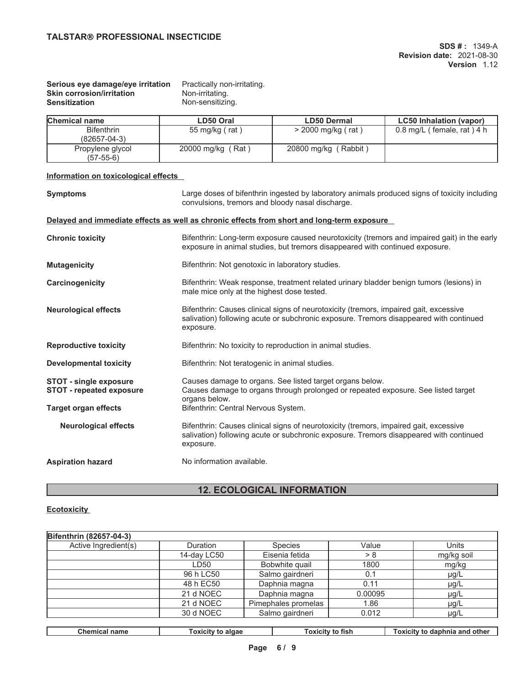# **Serious eye damage/eye irritation** Practically non-irritating.<br> **Skin corrosion/irritation** Non-irritating. **Skin corrosion/irritation**<br>Sensitization

Non-sensitizing.

| Chemical name                           | LD50 Oral         | <b>LD50 Dermal</b>        | <b>LC50 Inhalation (vapor)</b> |
|-----------------------------------------|-------------------|---------------------------|--------------------------------|
| <b>Bifenthrin</b><br>$(82657 - 04 - 3)$ | 55 mg/kg (rat)    | > 2000 mg/kg (rat)        | 0.8 mg/L (female, rat) $4 h$   |
| Propylene glycol<br>$(57-55-6)$         | 20000 mg/kg (Rat) | (Rabbit)<br>20800 mg/kg ( |                                |

# **Information on toxicological effects**

| <b>Symptoms</b>                                                  | Large doses of bifenthrin ingested by laboratory animals produced signs of toxicity including<br>convulsions, tremors and bloody nasal discharge.                                            |  |
|------------------------------------------------------------------|----------------------------------------------------------------------------------------------------------------------------------------------------------------------------------------------|--|
|                                                                  | Delayed and immediate effects as well as chronic effects from short and long-term exposure                                                                                                   |  |
| <b>Chronic toxicity</b>                                          | Bifenthrin: Long-term exposure caused neurotoxicity (tremors and impaired gait) in the early<br>exposure in animal studies, but tremors disappeared with continued exposure.                 |  |
| <b>Mutagenicity</b>                                              | Bifenthrin: Not genotoxic in laboratory studies.                                                                                                                                             |  |
| Carcinogenicity                                                  | Bifenthrin: Weak response, treatment related urinary bladder benign tumors (lesions) in<br>male mice only at the highest dose tested.                                                        |  |
| <b>Neurological effects</b>                                      | Bifenthrin: Causes clinical signs of neurotoxicity (tremors, impaired gait, excessive<br>salivation) following acute or subchronic exposure. Tremors disappeared with continued<br>exposure. |  |
| <b>Reproductive toxicity</b>                                     | Bifenthrin: No toxicity to reproduction in animal studies.                                                                                                                                   |  |
| <b>Developmental toxicity</b>                                    | Bifenthrin: Not teratogenic in animal studies.                                                                                                                                               |  |
| <b>STOT - single exposure</b><br><b>STOT - repeated exposure</b> | Causes damage to organs. See listed target organs below.<br>Causes damage to organs through prolonged or repeated exposure. See listed target<br>organs below.                               |  |
| <b>Target organ effects</b>                                      | Bifenthrin: Central Nervous System.                                                                                                                                                          |  |
| <b>Neurological effects</b>                                      | Bifenthrin: Causes clinical signs of neurotoxicity (tremors, impaired gait, excessive<br>salivation) following acute or subchronic exposure. Tremors disappeared with continued<br>exposure. |  |
| <b>Aspiration hazard</b>                                         | No information available.                                                                                                                                                                    |  |
|                                                                  |                                                                                                                                                                                              |  |

# **12. ECOLOGICAL INFORMATION**

# **Ecotoxicity**

| Bifenthrin (82657-04-3) |                          |                     |                |                         |  |                               |
|-------------------------|--------------------------|---------------------|----------------|-------------------------|--|-------------------------------|
| Active Ingredient(s)    | Duration                 |                     | <b>Species</b> | Value                   |  | Units                         |
|                         | 14-day LC50              |                     | Eisenia fetida | > 8                     |  | mg/kg soil                    |
|                         | LD50                     |                     | Bobwhite quail | 1800                    |  | mg/kg                         |
|                         | 96 h LC50                | Salmo gairdneri     |                | 0.1                     |  | $\mu$ g/L                     |
|                         | 48 h EC50                | Daphnia magna       |                | 0.11                    |  | $\mu$ g/L                     |
|                         | 21 d NOEC                | Daphnia magna       |                | 0.00095                 |  | $\mu$ g/L                     |
|                         | 21 d NOEC                | Pimephales promelas |                | 1.86                    |  | $\mu$ g/L                     |
|                         | 30 d NOEC                | Salmo gairdneri     |                | 0.012                   |  | $\mu$ g/L                     |
|                         |                          |                     |                |                         |  |                               |
| <b>Chemical name</b>    | <b>Toxicity to algae</b> |                     |                | <b>Toxicity to fish</b> |  | Toxicity to daphnia and other |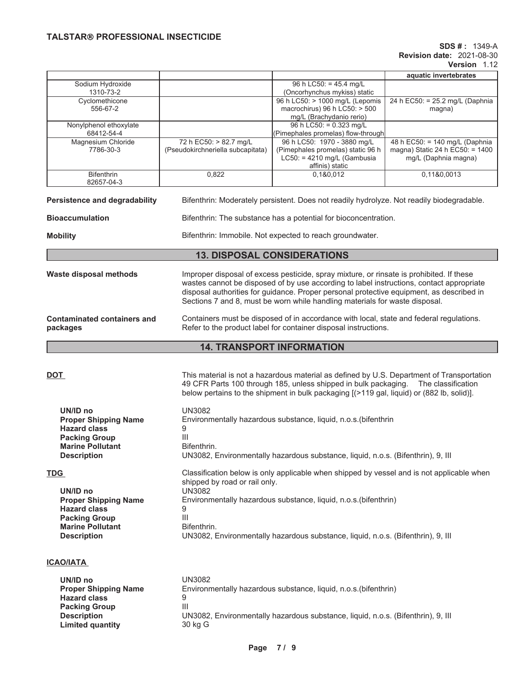# **SDS # :** 1349-A **Revision date:** 2021-08-30

|                                                                                                                                                       |                                                                                                                                                                                                                                                                                                                                                                 |                                                                                                                                                                                                                                                                              | <b>Revision date: 2021-08-30</b><br><b>Version</b> 1.12                                   |  |  |
|-------------------------------------------------------------------------------------------------------------------------------------------------------|-----------------------------------------------------------------------------------------------------------------------------------------------------------------------------------------------------------------------------------------------------------------------------------------------------------------------------------------------------------------|------------------------------------------------------------------------------------------------------------------------------------------------------------------------------------------------------------------------------------------------------------------------------|-------------------------------------------------------------------------------------------|--|--|
|                                                                                                                                                       |                                                                                                                                                                                                                                                                                                                                                                 |                                                                                                                                                                                                                                                                              | aquatic invertebrates                                                                     |  |  |
| Sodium Hydroxide<br>1310-73-2                                                                                                                         |                                                                                                                                                                                                                                                                                                                                                                 | 96 h LC50: = 45.4 mg/L<br>(Oncorhynchus mykiss) static                                                                                                                                                                                                                       |                                                                                           |  |  |
| Cyclomethicone<br>556-67-2                                                                                                                            |                                                                                                                                                                                                                                                                                                                                                                 | 96 h LC50: > 1000 mg/L (Lepomis<br>macrochirus) 96 h $LC50:$ > 500<br>mg/L (Brachydanio rerio)                                                                                                                                                                               | 24 h EC50: = 25.2 mg/L (Daphnia<br>magna)                                                 |  |  |
| Nonylphenol ethoxylate<br>68412-54-4                                                                                                                  |                                                                                                                                                                                                                                                                                                                                                                 | 96 h LC50: = 0.323 mg/L<br>(Pimephales promelas) flow-through                                                                                                                                                                                                                |                                                                                           |  |  |
| Magnesium Chloride<br>7786-30-3                                                                                                                       | 72 h EC50: > 82.7 mg/L<br>(Pseudokirchneriella subcapitata)                                                                                                                                                                                                                                                                                                     | 96 h LC50: 1970 - 3880 mg/L<br>(Pimephales promelas) static 96 h<br>$LC50: = 4210$ mg/L (Gambusia<br>affinis) static                                                                                                                                                         | 48 h EC50: = 140 mg/L (Daphnia<br>magna) Static 24 h EC50: = 1400<br>mg/L (Daphnia magna) |  |  |
| <b>Bifenthrin</b><br>82657-04-3                                                                                                                       | 0,822                                                                                                                                                                                                                                                                                                                                                           | 0,1&0,012                                                                                                                                                                                                                                                                    | 0,11&0,0013                                                                               |  |  |
| Persistence and degradability                                                                                                                         |                                                                                                                                                                                                                                                                                                                                                                 | Bifenthrin: Moderately persistent. Does not readily hydrolyze. Not readily biodegradable.                                                                                                                                                                                    |                                                                                           |  |  |
| <b>Bioaccumulation</b>                                                                                                                                |                                                                                                                                                                                                                                                                                                                                                                 | Bifenthrin: The substance has a potential for bioconcentration.                                                                                                                                                                                                              |                                                                                           |  |  |
| <b>Mobility</b>                                                                                                                                       |                                                                                                                                                                                                                                                                                                                                                                 | Bifenthrin: Immobile. Not expected to reach groundwater.                                                                                                                                                                                                                     |                                                                                           |  |  |
|                                                                                                                                                       |                                                                                                                                                                                                                                                                                                                                                                 | <b>13. DISPOSAL CONSIDERATIONS</b>                                                                                                                                                                                                                                           |                                                                                           |  |  |
| <b>Waste disposal methods</b>                                                                                                                         | Improper disposal of excess pesticide, spray mixture, or rinsate is prohibited. If these<br>wastes cannot be disposed of by use according to label instructions, contact appropriate<br>disposal authorities for guidance. Proper personal protective equipment, as described in<br>Sections 7 and 8, must be worn while handling materials for waste disposal. |                                                                                                                                                                                                                                                                              |                                                                                           |  |  |
| <b>Contaminated containers and</b><br>packages                                                                                                        |                                                                                                                                                                                                                                                                                                                                                                 | Containers must be disposed of in accordance with local, state and federal regulations.<br>Refer to the product label for container disposal instructions.                                                                                                                   |                                                                                           |  |  |
|                                                                                                                                                       |                                                                                                                                                                                                                                                                                                                                                                 | <b>14. TRANSPORT INFORMATION</b>                                                                                                                                                                                                                                             |                                                                                           |  |  |
| <b>DOT</b>                                                                                                                                            |                                                                                                                                                                                                                                                                                                                                                                 | This material is not a hazardous material as defined by U.S. Department of Transportation<br>49 CFR Parts 100 through 185, unless shipped in bulk packaging. The classification<br>below pertains to the shipment in bulk packaging [(>119 gal, liquid) or (882 lb, solid)]. |                                                                                           |  |  |
| UN/ID no<br><b>Proper Shipping Name</b><br><b>Hazard class</b><br><b>Packing Group</b><br><b>Marine Pollutant</b><br><b>Description</b>               | <b>UN3082</b><br>9<br>$\mathbf{III}$<br>Bifenthrin.                                                                                                                                                                                                                                                                                                             | Environmentally hazardous substance, liquid, n.o.s. (bifenthrin<br>UN3082, Environmentally hazardous substance, liquid, n.o.s. (Bifenthrin), 9, III                                                                                                                          |                                                                                           |  |  |
| <b>TDG</b><br>UN/ID no<br><b>Proper Shipping Name</b><br><b>Hazard class</b><br><b>Packing Group</b><br><b>Marine Pollutant</b><br><b>Description</b> | shipped by road or rail only.<br><b>UN3082</b><br>9<br>Ш<br>Bifenthrin.                                                                                                                                                                                                                                                                                         | Classification below is only applicable when shipped by vessel and is not applicable when<br>Environmentally hazardous substance, liquid, n.o.s. (bifenthrin)<br>UN3082, Environmentally hazardous substance, liquid, n.o.s. (Bifenthrin), 9, III                            |                                                                                           |  |  |

# **ICAO/IATA**

| UN/ID no<br><b>Proper Shipping Name</b> | UN3082<br>Environmentally hazardous substance, liquid, n.o.s. (bifenthrin)       |
|-----------------------------------------|----------------------------------------------------------------------------------|
| <b>Hazard class</b>                     | g                                                                                |
| <b>Packing Group</b>                    | Ш                                                                                |
| <b>Description</b>                      | UN3082, Environmentally hazardous substance, liquid, n.o.s. (Bifenthrin), 9, III |
| <b>Limited quantity</b>                 | 30 kg G                                                                          |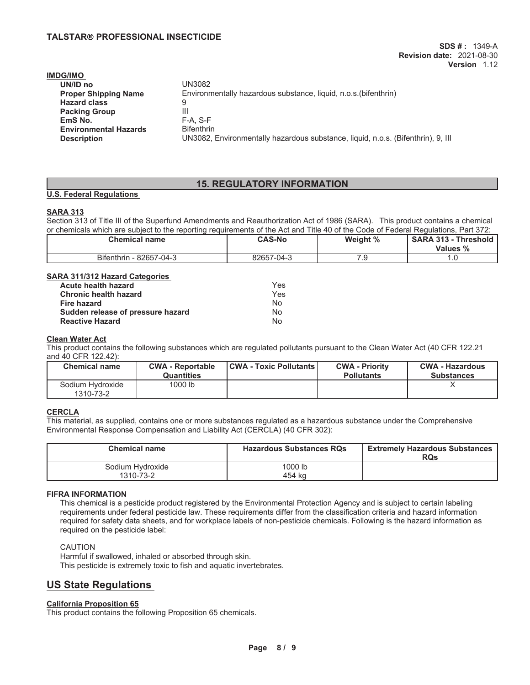| <b>IMDG/IMO</b>              |                                                                                  |
|------------------------------|----------------------------------------------------------------------------------|
| UN/ID no                     | UN3082                                                                           |
| <b>Proper Shipping Name</b>  | Environmentally hazardous substance, liquid, n.o.s. (bifenthrin)                 |
| <b>Hazard class</b>          | 9                                                                                |
| <b>Packing Group</b>         | Ш                                                                                |
| EmS No.                      | $F-A. S-F$                                                                       |
| <b>Environmental Hazards</b> | <b>Bifenthrin</b>                                                                |
| <b>Description</b>           | UN3082, Environmentally hazardous substance, liquid, n.o.s. (Bifenthrin), 9, III |
|                              |                                                                                  |

# **15. REGULATORY INFORMATION**

# **U.S. Federal Regulations**

### **SARA 313**

Section 313 of Title III of the Superfund Amendments and Reauthorization Act of 1986 (SARA). This product contains a chemical or chemicals which are subject to the reporting requirements of the Act and Title 40 of the Code of Federal Regulations, Part 372:

| Chemical name           | <b>CAS-No</b> | Weight % | <b>SARA 313 -</b><br><b>Threshold</b><br><b>Values %</b> |
|-------------------------|---------------|----------|----------------------------------------------------------|
| Bifenthrin - 82657-04-3 | 82657-04-3    | ت.       | .u                                                       |

### **SARA 311/312 Hazard Categories**

| Acute health hazard               | Yes |
|-----------------------------------|-----|
| <b>Chronic health hazard</b>      | Yes |
| <b>Fire hazard</b>                | Nο  |
| Sudden release of pressure hazard | No  |
| <b>Reactive Hazard</b>            | N٥  |

# **Clean Water Act**

This product contains the following substances which are regulated pollutants pursuant to the Clean Water Act (40 CFR 122.21 and 40 CFR 122.42):

| <b>Chemical name</b>          | <b>CWA - Reportable</b><br><b>Quantities</b> | <b>CWA - Toxic Pollutants  </b> | <b>CWA - Priority</b><br><b>Pollutants</b> | <b>CWA - Hazardous</b><br><b>Substances</b> |
|-------------------------------|----------------------------------------------|---------------------------------|--------------------------------------------|---------------------------------------------|
| Sodium Hydroxide<br>1310-73-2 | 1000 lb                                      |                                 |                                            |                                             |

### **CERCLA**

This material, as supplied, contains one or more substances regulated as a hazardous substance under the Comprehensive Environmental Response Compensation and Liability Act (CERCLA) (40 CFR 302):

| <b>Chemical name</b>          | <b>Hazardous Substances RQs</b> | <b>Extremely Hazardous Substances</b><br><b>RQs</b> |
|-------------------------------|---------------------------------|-----------------------------------------------------|
| Sodium Hydroxide<br>1310-73-2 | 1000 lb<br>454 ka               |                                                     |

### **FIFRA INFORMATION**

This chemical is a pesticide product registered by the Environmental Protection Agency and is subject to certain labeling requirements under federal pesticide law. These requirements differ from the classification criteria and hazard information required for safety data sheets, and for workplace labels of non-pesticide chemicals. Following is the hazard information as required on the pesticide label:

### CAUTION

Harmful if swallowed, inhaled or absorbed through skin. This pesticide is extremely toxic to fish and aquatic invertebrates.

# **US State Regulations**

# **California Proposition 65**

This product contains the following Proposition 65 chemicals.